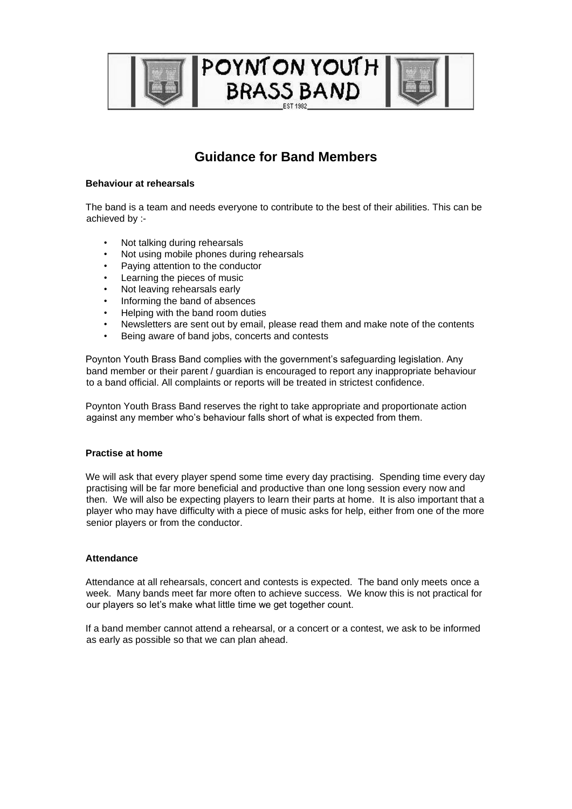

# **Guidance for Band Members**

## **Behaviour at rehearsals**

The band is a team and needs everyone to contribute to the best of their abilities. This can be achieved by :-

- Not talking during rehearsals
- Not using mobile phones during rehearsals
- Paying attention to the conductor
- Learning the pieces of music
- Not leaving rehearsals early
- Informing the band of absences
- Helping with the band room duties
- Newsletters are sent out by email, please read them and make note of the contents
- Being aware of band jobs, concerts and contests

Poynton Youth Brass Band complies with the government's safeguarding legislation. Any band member or their parent / guardian is encouraged to report any inappropriate behaviour to a band official. All complaints or reports will be treated in strictest confidence.

Poynton Youth Brass Band reserves the right to take appropriate and proportionate action against any member who's behaviour falls short of what is expected from them.

#### **Practise at home**

We will ask that every player spend some time every day practising. Spending time every day practising will be far more beneficial and productive than one long session every now and then. We will also be expecting players to learn their parts at home. It is also important that a player who may have difficulty with a piece of music asks for help, either from one of the more senior players or from the conductor.

#### **Attendance**

Attendance at all rehearsals, concert and contests is expected. The band only meets once a week. Many bands meet far more often to achieve success. We know this is not practical for our players so let's make what little time we get together count.

If a band member cannot attend a rehearsal, or a concert or a contest, we ask to be informed as early as possible so that we can plan ahead.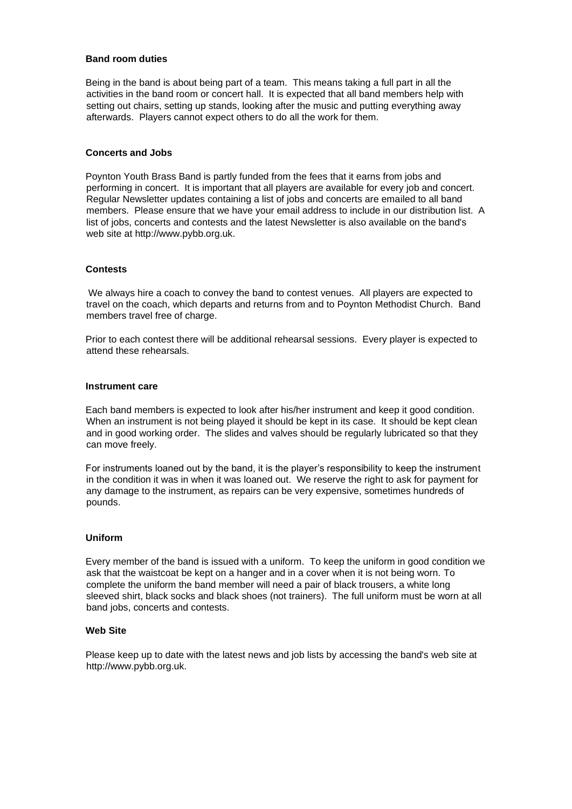### **Band room duties**

Being in the band is about being part of a team. This means taking a full part in all the activities in the band room or concert hall. It is expected that all band members help with setting out chairs, setting up stands, looking after the music and putting everything away afterwards. Players cannot expect others to do all the work for them.

## **Concerts and Jobs**

Poynton Youth Brass Band is partly funded from the fees that it earns from jobs and performing in concert. It is important that all players are available for every job and concert. Regular Newsletter updates containing a list of jobs and concerts are emailed to all band members. Please ensure that we have your email address to include in our distribution list. A list of jobs, concerts and contests and the latest Newsletter is also available on the band's web site at http://www.pybb.org.uk.

#### **Contests**

We always hire a coach to convey the band to contest venues. All players are expected to travel on the coach, which departs and returns from and to Poynton Methodist Church. Band members travel free of charge.

Prior to each contest there will be additional rehearsal sessions. Every player is expected to attend these rehearsals.

#### **Instrument care**

Each band members is expected to look after his/her instrument and keep it good condition. When an instrument is not being played it should be kept in its case. It should be kept clean and in good working order. The slides and valves should be regularly lubricated so that they can move freely.

For instruments loaned out by the band, it is the player's responsibility to keep the instrument in the condition it was in when it was loaned out. We reserve the right to ask for payment for any damage to the instrument, as repairs can be very expensive, sometimes hundreds of pounds.

#### **Uniform**

Every member of the band is issued with a uniform. To keep the uniform in good condition we ask that the waistcoat be kept on a hanger and in a cover when it is not being worn. To complete the uniform the band member will need a pair of black trousers, a white long sleeved shirt, black socks and black shoes (not trainers). The full uniform must be worn at all band jobs, concerts and contests.

## **Web Site**

Please keep up to date with the latest news and job lists by accessing the band's web site at http://www.pybb.org.uk.